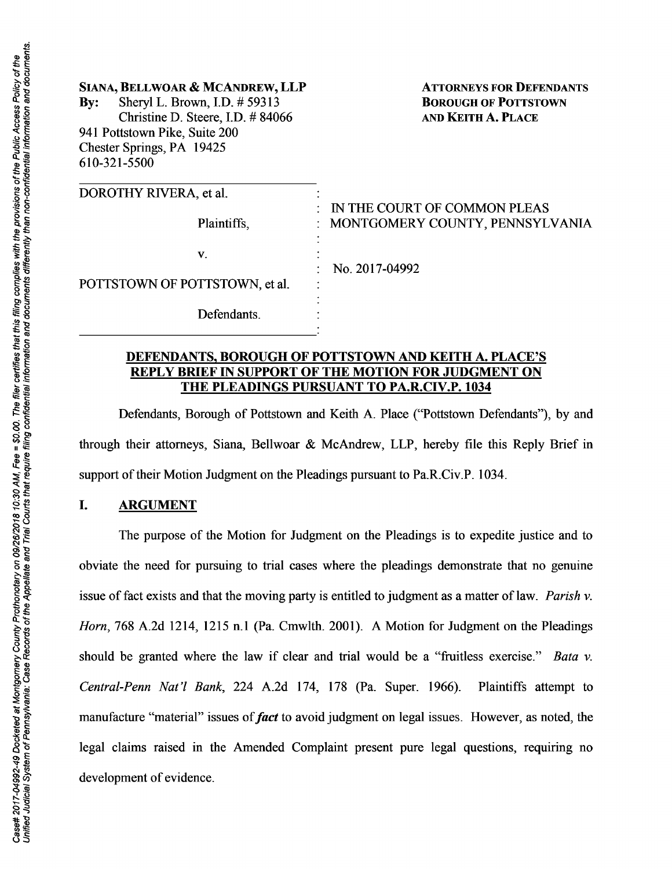| SIANA, BELLWOAR & MCANDREW, LLP<br>Sheryl L. Brown, I.D. # 59313<br>$\mathbf{By:}$<br>Christine D. Steere, I.D. #84066<br>941 Pottstown Pike, Suite 200<br>Chester Springs, PA 19425<br>610-321-5500 | <b>ATTORNEYS FOR DEFENDANTS</b><br><b>BOROUGH OF POTTSTOWN</b><br><b>AND KEITH A. PLACE</b> |
|------------------------------------------------------------------------------------------------------------------------------------------------------------------------------------------------------|---------------------------------------------------------------------------------------------|
| DOROTHY RIVERA, et al.<br>Plaintiffs,                                                                                                                                                                | IN THE COURT OF COMMON PLEAS<br>: MONTGOMERY COUNTY, PENNSYLVANIA                           |
| V.<br>POTTSTOWN OF POTTSTOWN, et al.                                                                                                                                                                 | No. 2017-04992                                                                              |
| Defendants.                                                                                                                                                                                          |                                                                                             |

### DEFENDANTS, BOROUGH OF POTTSTOWN AND KEITH A. PLACE'S REPLY BRIEF IN SUPPORT OF THE MOTION FOR JUDGMENT ON THE PLEADINGS PURSUANT TO PA.R.CIV.P. 1034

Defendants, Borough of Pottstown and Keith A. Place ("Pottstown Defendants"), by and through their attorneys, Siana, Bellwoar & McAndrew, LLP, hereby file this Reply Brief in support of their Motion Judgment on the Pleadings pursuant to Pa.R.Civ.P. 1034.

#### I. ARGUMENT

The purpose of the Motion for Judgment on the Pleadings is to expedite justice and to obviate the need for pursuing to trial cases where the pleadings demonstrate that no genuine issue of fact exists and that the moving party is entitled to judgment as a matter of law. *Parish v. Horn,* 768 A.2d 1214, 1215 n.l (Pa. Cmwlth. 2001). A Motion for Judgment on the Pleadings should be granted where the law if clear and trial would be a "fruitless exercise." *Bata v. Central-Penn Nat'/ Bank,* 224 A.2d 174, 178 (Pa. Super. 1966). Plaintiffs attempt to manufacture "material" issues of *fact* to avoid judgment on legal issues. However, as noted, the legal claims raised in the Amended Complaint present pure legal questions, requiring no development of evidence.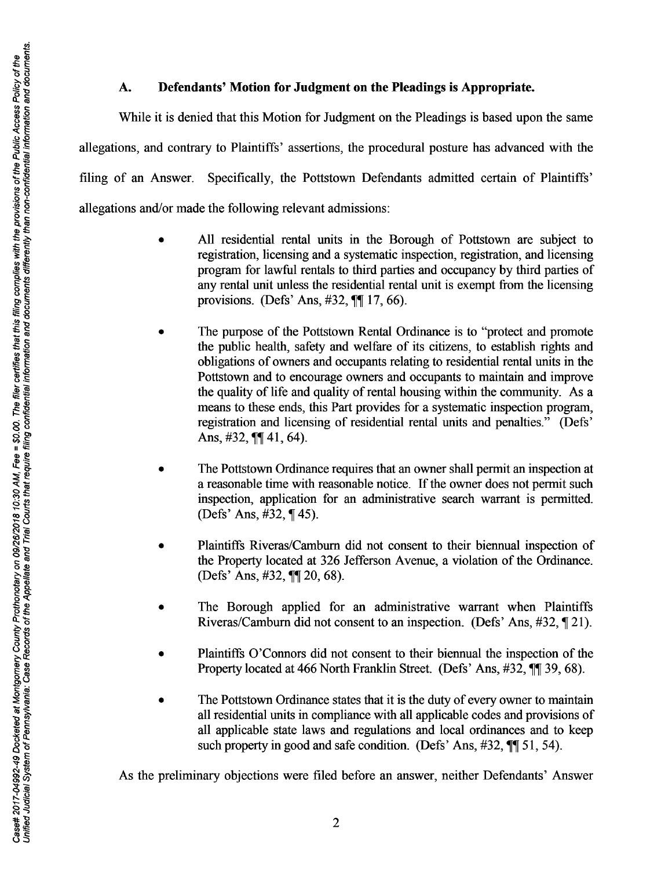# A. **Defendants' Motion for Judgment on the Pleadings is Appropriate.**

While it is denied that this Motion for Judgment on the Pleadings is based upon the same allegations, and contrary to Plaintiffs' assertions, the procedural posture has advanced with the filing of an Answer. Specifically, the Pottstown Defendants admitted certain of Plaintiffs' allegations and/or made the following relevant admissions:

- All residential rental units in the Borough of Pottstown are subject to registration, licensing and a systematic inspection, registration, and licensing program for lawful rentals to third parties and occupancy by third parties of any rental unit unless the residential rental unit is exempt from the licensing provisions. (Defs' Ans,  $\#32$ ,  $\P\P$  17, 66).
- The purpose of the Pottstown Rental Ordinance is to "protect and promote the public health, safety and welfare of its citizens, to establish rights and obligations of owners and occupants relating to residential rental units in the Pottstown and to encourage owners and occupants to maintain and improve the quality of life and quality of rental housing within the community. As a means to these ends, this Part provides for a systematic inspection program, registration and licensing of residential rental units and penalties." (Defs' Ans,  $\#32$ ,  $\P\P$  41, 64).
- The Pottstown Ordinance requires that an owner shall permit an inspection at a reasonable time with reasonable notice. If the owner does not permit such inspection, application for an administrative search warrant is permitted. (Defs' Ans,  $\#32$ ,  $\P$  45).
- Plaintiffs Riveras/Camburn did not consent to their biennual inspection of the Property located at 326 Jefferson Avenue, a violation of the Ordinance. (Defs' Ans, #32, ¶¶ 20, 68).
- The Borough applied for an administrative warrant when Plaintiffs Riveras/Camburn did not consent to an inspection. (Defs' Ans,  $\#32$ ,  $\P$  21).
- Plaintiffs O'Connors did not consent to their biennual the inspection of the Property located at 466 North Franklin Street. (Defs' Ans, #32,  $\P$  39, 68).
- The Pottstown Ordinance states that it is the duty of every owner to maintain all residential units in compliance with all applicable codes and provisions of all applicable state laws and regulations and local ordinances and to keep such property in good and safe condition. (Defs' Ans,  $\#32$ ,  $\P$  $[51, 54)$ .

As the preliminary objections were filed before an answer, neither Defendants' Answer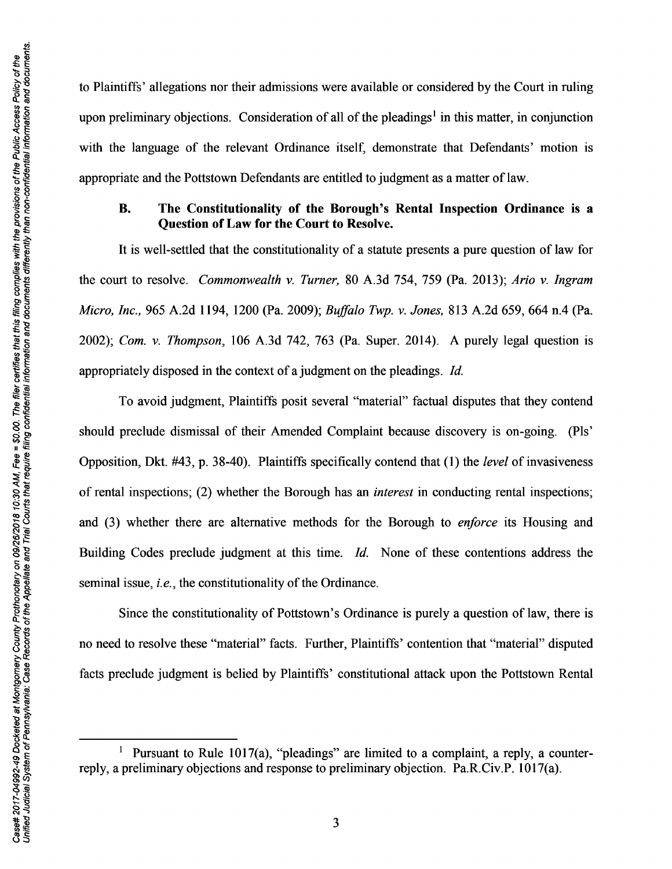to Plaintiffs' allegations nor their admissions were available or considered by the Court in ruling upon preliminary objections. Consideration of all of the pleadings<sup>1</sup> in this matter, in conjunction with the language of the relevant Ordinance itself, demonstrate that Defendants' motion is appropriate and the Pottstown Defendants are entitled to judgment as a matter of law.

#### B. The Constitutionality of the Borough's Rental Inspection Ordinance is a Question of Law for the Court to Resolve.

It is well-settled that the constitutionality of a statute presents a pure question of law for the court to resolve. *Commonwealth v. Turner,* 80 A.3d 754, 759 (Pa. 2013); *Ario v. Ingram Micro, Inc.,* 965 A.2d 1194, 1200 (Pa. 2009); *Buffalo Twp. v. Jones,* 813 A.2d 659, 664 n.4 (Pa. 2002); *Com. v. Thompson,* 106 A.3d 742, 763 (Pa. Super. 2014). A purely legal question is appropriately disposed in the context of a judgment on the pleadings. *Id.* 

To avoid judgment, Plaintiffs posit several "material" factual disputes that they contend should preclude dismissal of their Amended Complaint because discovery is on-going. (Pls' Opposition, Dkt. #43, p. 38-40). Plaintiffs specifically contend that (1) the *level* of invasiveness of rental inspections; (2) whether the Borough has an *interest* in conducting rental inspections; and (3) whether there are alternative methods for the Borough to *enforce* its Housing and Building Codes preclude judgment at this time. *Id.* None of these contentions address the seminal issue, *i.e.,* the constitutionality of the Ordinance.

Since the constitutionality of Pottstown's Ordinance is purely a question of law, there is no need to resolve these "material" facts. Further, Plaintiffs' contention that "material" disputed facts preclude judgment is belied by Plaintiffs' constitutional attack upon the Pottstown Rental

<sup>&</sup>lt;sup>1</sup> Pursuant to Rule 1017(a), "pleadings" are limited to a complaint, a reply, a counterreply, a preliminary objections and response to preliminary objection. Pa.R.Civ.P. 1017(a).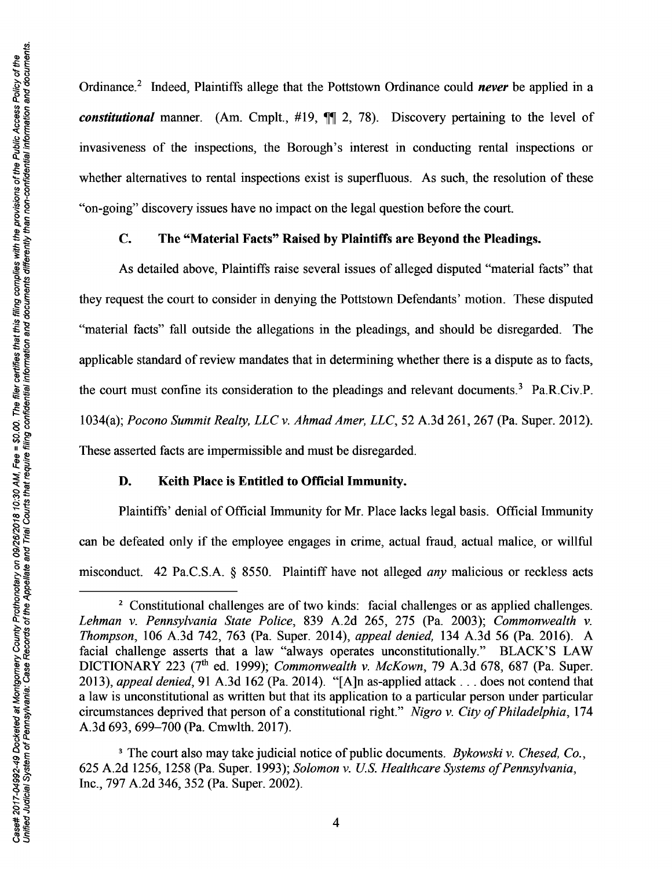Ordinance.<sup>2</sup> Indeed, Plaintiffs allege that the Pottstown Ordinance could *never* be applied in a *constitutional* manner. (Am. Cmplt., #19,  $\mathbb{II}$  2, 78). Discovery pertaining to the level of invasiveness of the inspections, the Borough's interest in conducting rental inspections or whether alternatives to rental inspections exist is superfluous. As such, the resolution of these "on-going" discovery issues have no impact on the legal question before the court.

### C. The "Material Facts" Raised by Plaintiffs are Beyond the Pleadings.

As detailed above, Plaintiffs raise several issues of alleged disputed "material facts" that they request the court to consider in denying the Pottstown Defendants' motion. These disputed "material facts" fall outside the allegations in the pleadings, and should be disregarded. The applicable standard of review mandates that in determining whether there is a dispute as to facts, the court must confine its consideration to the pleadings and relevant documents.<sup>3</sup> Pa.R.Civ.P. 1034(a); *Pocono Summit Realty, LLC v. Ahmad Amer, LLC,* 52 A.3d 261, 267 (Pa. Super. 2012). These asserted facts are impermissible and must be disregarded.

#### D. Keith Place is Entitled to Official Immunity.

Plaintiffs' denial of Official Immunity for Mr. Place lacks legal basis. Official Immunity can be defeated only if the employee engages in crime, actual fraud, actual malice, or willful misconduct 42 Pa.CS.A. § 8550. Plaintiff have not alleged *any* malicious or reckless acts

<sup>&</sup>lt;sup>2</sup> Constitutional challenges are of two kinds: facial challenges or as applied challenges. *Lehman v. Pennsylvania State Police,* 839 A.2d 265, 275 (Pa. 2003); *Commonwealth v. Thompson,* 106 A.3d 742, 763 (Pa. Super. 2014), *appeal denied,* 134 A.3d 56 (Pa. 2016). A facial challenge asserts that a law "always operates unconstitutionally." BLACK'S LAW DICTIONARY 223 (7th ed. 1999); *Commonwealth v. McKown,* 79 A.3d 678, 687 (Pa. Super. 2013), *appeal denied,* 91A.3d162 (Pa. 2014). "[A]n as-applied attack ... does not contend that a law is unconstitutional as written but that its application to a particular person under particular circumstances deprived that person of a constitutional right" *Nigro v. City of Philadelphia,* 174 A.3d 693, 699-700 (Pa. Cmwlth. 2017).

<sup>3</sup> The court also may take judicial notice of public documents. *Bykowski v. Chesed, Co.,*  625 A.2d 1256, 1258 (Pa. Super. 1993); *Solomon v. US. Healthcare Systems of Pennsylvania,*  Inc., 797 A.2d 346, 352 (Pa. Super. 2002).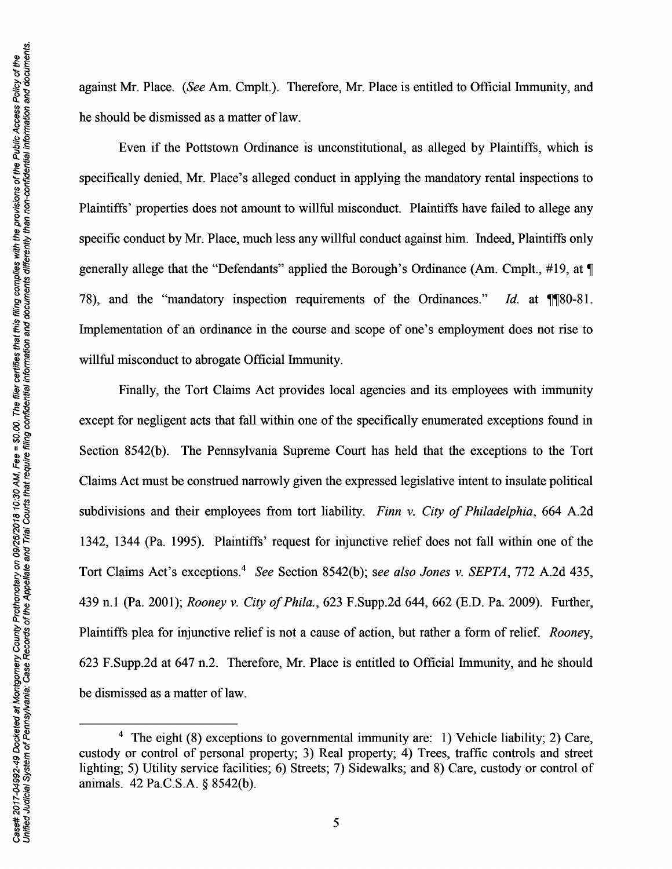against Mr. Place. *(See* Am. Cmplt.). Therefore, Mr. Place is entitled to Official Immunity, and he should be dismissed as a matter of law.

Even if the Pottstown Ordinance is unconstitutional, as alleged by Plaintiffs, which is specifically denied, Mr. Place's alleged conduct in applying the mandatory rental inspections to Plaintiffs' properties does not amount to willful misconduct. Plaintiffs have failed to allege any specific conduct by Mr. Place, much less any willful conduct against him. Indeed, Plaintiffs only generally allege that the "Defendants" applied the Borough's Ordinance (Am. Cmplt.,  $\#19$ , at  $\P$ 78), and the "mandatory inspection requirements of the Ordinances." *Id.* at **1180-81**. Implementation of an ordinance in the course and scope of one's employment does not rise to willful misconduct to abrogate Official Immunity.

Finally, the Tort Claims Act provides local agencies and its employees with immunity except for negligent acts that fall within one of the specifically enumerated exceptions found in Section 8542(b). The Pennsylvania Supreme Court has held that the exceptions to the Tort Claims Act must be construed narrowly given the expressed legislative intent to insulate political subdivisions and their employees from tort liability. *Finn v. City of Philadelphia,* 664 A.2d 1342, 1344 (Pa. 1995). Plaintiffs' request for injunctive relief does not fall within one of the Tort Claims Act's exceptions.<sup>4</sup>*See* Section 8542(b); *see also Jones v. SEPTA,* 772 A.2d 435, 439 n.l (Pa. 2001); *Rooney v. City of Phi/a.,* 623 F.Supp.2d 644, 662 (E.D. Pa. 2009). Further, Plaintiffs plea for injunctive relief is not a cause of action, but rather a form of relief. *Rooney,*  623 F.Supp.2d at 647 n.2. Therefore, Mr. Place is entitled to Official Immunity, and he should be dismissed as a matter of law.

<sup>&</sup>lt;sup>4</sup> The eight (8) exceptions to governmental immunity are: 1) Vehicle liability; 2) Care, custody or control of personal property; 3) Real property; 4) Trees, traffic controls and street lighting; 5) Utility service facilities; 6) Streets; 7) Sidewalks; and 8) Care, custody or control of animals. 42 Pa.C.S.A. § 8542(b).